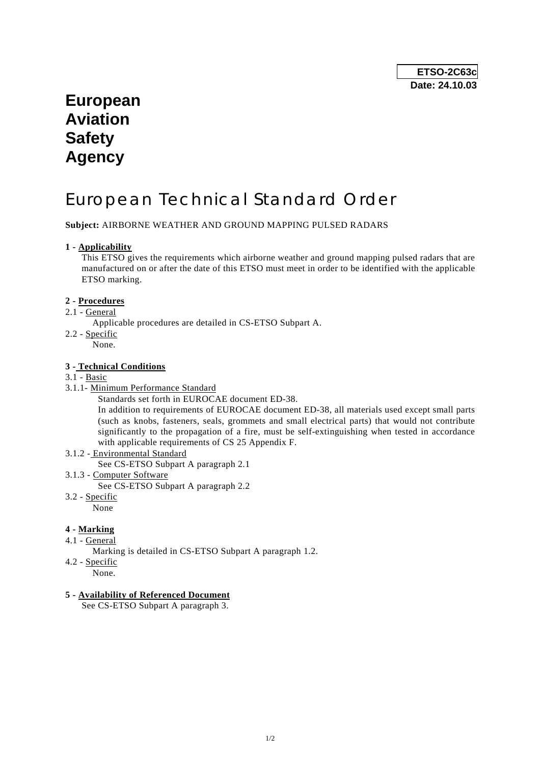## **European Aviation Safety Agency**

# European Technical Standard Order

**Subject:** AIRBORNE WEATHER AND GROUND MAPPING PULSED RADARS

#### **1 - Applicability**

 This ETSO gives the requirements which airborne weather and ground mapping pulsed radars that are manufactured on or after the date of this ETSO must meet in order to be identified with the applicable ETSO marking.

#### **2 - Procedures**

- 2.1 General
	- Applicable procedures are detailed in CS-ETSO Subpart A.
- 2.2 Specific

None.

#### **3 - Technical Conditions**

#### 3.1 - Basic

- 3.1.1- Minimum Performance Standard
	- Standards set forth in EUROCAE document ED-38.

 In addition to requirements of EUROCAE document ED-38, all materials used except small parts (such as knobs, fasteners, seals, grommets and small electrical parts) that would not contribute significantly to the propagation of a fire, must be self-extinguishing when tested in accordance with applicable requirements of CS 25 Appendix F.

3.1.2 - Environmental Standard

See CS-ETSO Subpart A paragraph 2.1

- 3.1.3 Computer Software
	- See CS-ETSO Subpart A paragraph 2.2
- 3.2 Specific

None

#### **4 - Marking**

4.1 - General

Marking is detailed in CS-ETSO Subpart A paragraph 1.2.

- 4.2 Specific
	- None.

#### **5 - Availability of Referenced Document**

See CS-ETSO Subpart A paragraph 3.